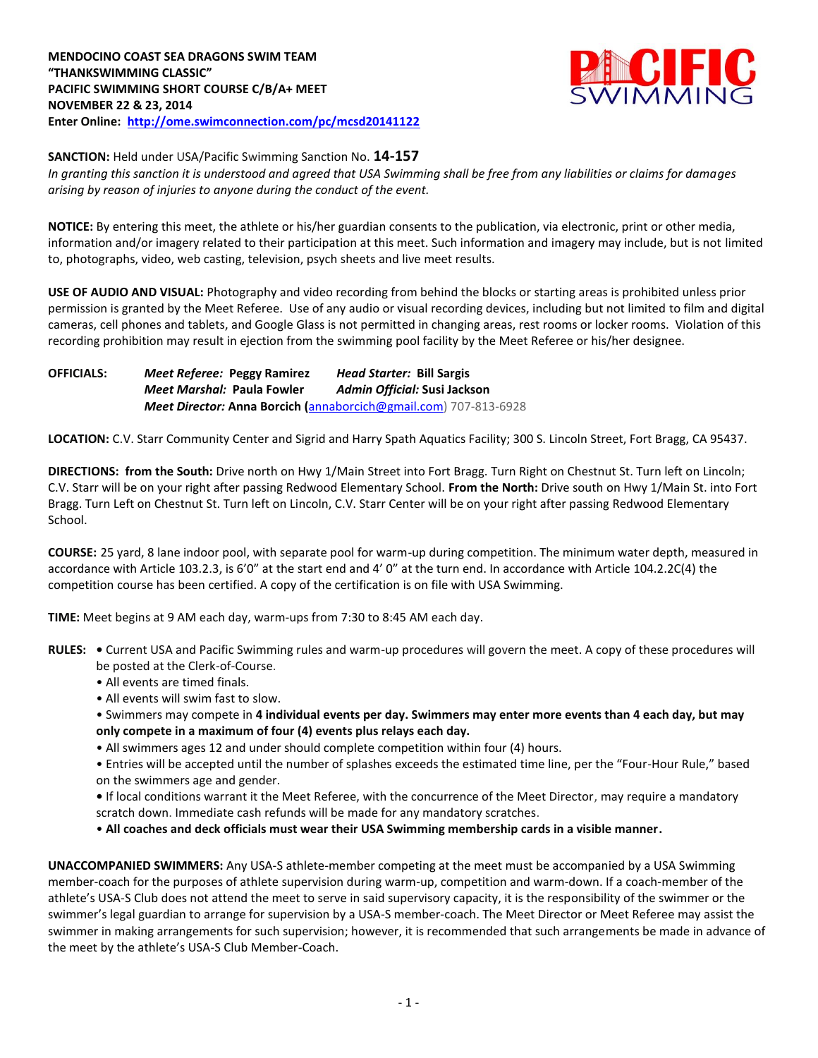

**SANCTION:** Held under USA/Pacific Swimming Sanction No. **14-157**

*In granting this sanction it is understood and agreed that USA Swimming shall be free from any liabilities or claims for damages arising by reason of injuries to anyone during the conduct of the event.*

**NOTICE:** By entering this meet, the athlete or his/her guardian consents to the publication, via electronic, print or other media, information and/or imagery related to their participation at this meet. Such information and imagery may include, but is not limited to, photographs, video, web casting, television, psych sheets and live meet results.

**USE OF AUDIO AND VISUAL:** Photography and video recording from behind the blocks or starting areas is prohibited unless prior permission is granted by the Meet Referee. Use of any audio or visual recording devices, including but not limited to film and digital cameras, cell phones and tablets, and Google Glass is not permitted in changing areas, rest rooms or locker rooms. Violation of this recording prohibition may result in ejection from the swimming pool facility by the Meet Referee or his/her designee.

**OFFICIALS:** *Meet Referee:* **Peggy Ramirez** *Head Starter:* **Bill Sargis** *Meet Marshal:* **Paula Fowler** *Admin Official:* **Susi Jackson** *Meet Director:* **Anna Borcich (**[annaborcich@gmail.com\)](mailto:annaborcich@gmail.com) 707-813-6928

**LOCATION:** C.V. Starr Community Center and Sigrid and Harry Spath Aquatics Facility; 300 S. Lincoln Street, Fort Bragg, CA 95437.

**DIRECTIONS: from the South:** Drive north on Hwy 1/Main Street into Fort Bragg. Turn Right on Chestnut St. Turn left on Lincoln; C.V. Starr will be on your right after passing Redwood Elementary School. **From the North:** Drive south on Hwy 1/Main St. into Fort Bragg. Turn Left on Chestnut St. Turn left on Lincoln, C.V. Starr Center will be on your right after passing Redwood Elementary School.

**COURSE:** 25 yard, 8 lane indoor pool, with separate pool for warm-up during competition. The minimum water depth, measured in accordance with Article 103.2.3, is 6'0" at the start end and 4' 0" at the turn end. In accordance with Article 104.2.2C(4) the competition course has been certified. A copy of the certification is on file with USA Swimming.

**TIME:** Meet begins at 9 AM each day, warm-ups from 7:30 to 8:45 AM each day.

- **RULES:** Current USA and Pacific Swimming rules and warm-up procedures will govern the meet. A copy of these procedures will be posted at the Clerk-of-Course.
	- All events are timed finals.
	- All events will swim fast to slow.
	- Swimmers may compete in **4 individual events per day. Swimmers may enter more events than 4 each day, but may only compete in a maximum of four (4) events plus relays each day.**
	- All swimmers ages 12 and under should complete competition within four (4) hours.
	- Entries will be accepted until the number of splashes exceeds the estimated time line, per the "Four-Hour Rule," based on the swimmers age and gender.

**•** If local conditions warrant it the Meet Referee, with the concurrence of the Meet Director, may require a mandatory scratch down. Immediate cash refunds will be made for any mandatory scratches.

• **All coaches and deck officials must wear their USA Swimming membership cards in a visible manner.** 

**UNACCOMPANIED SWIMMERS:** Any USA-S athlete-member competing at the meet must be accompanied by a USA Swimming member-coach for the purposes of athlete supervision during warm-up, competition and warm-down. If a coach-member of the athlete's USA-S Club does not attend the meet to serve in said supervisory capacity, it is the responsibility of the swimmer or the swimmer's legal guardian to arrange for supervision by a USA-S member-coach. The Meet Director or Meet Referee may assist the swimmer in making arrangements for such supervision; however, it is recommended that such arrangements be made in advance of the meet by the athlete's USA-S Club Member-Coach.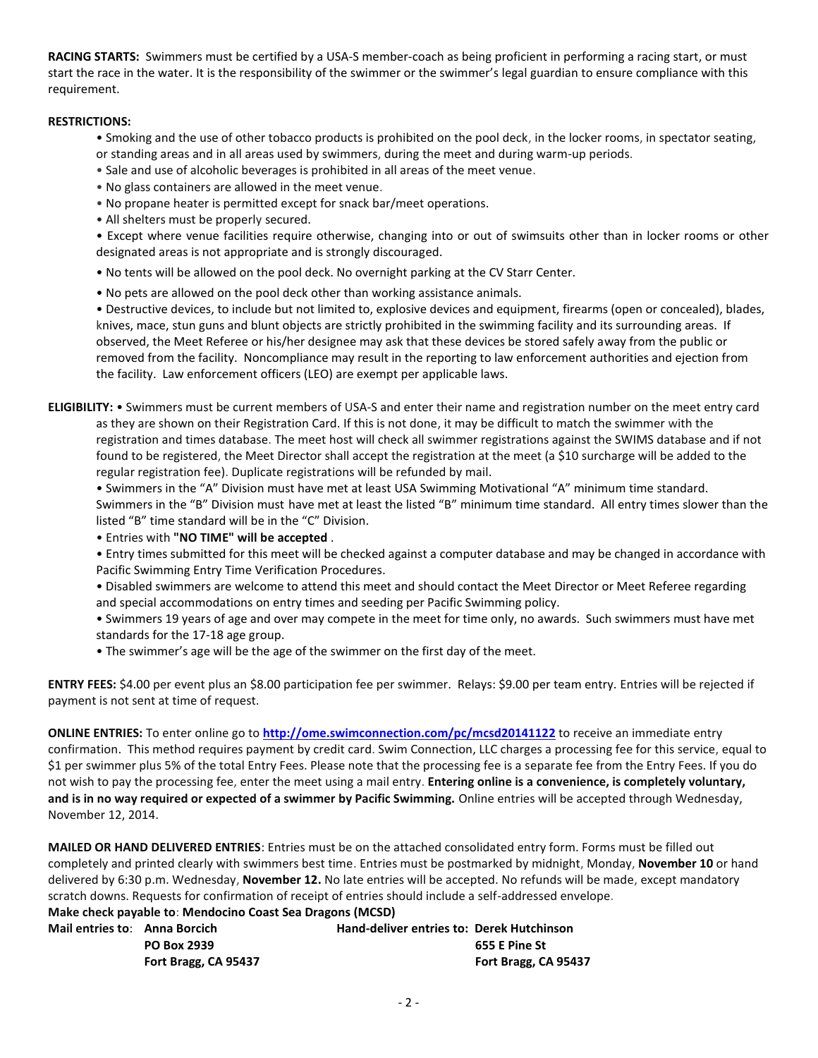**RACING STARTS:** Swimmers must be certified by a USA-S member-coach as being proficient in performing a racing start, or must start the race in the water. It is the responsibility of the swimmer or the swimmer's legal guardian to ensure compliance with this requirement.

## **RESTRICTIONS:**

- Smoking and the use of other tobacco products is prohibited on the pool deck, in the locker rooms, in spectator seating, or standing areas and in all areas used by swimmers, during the meet and during warm-up periods.
- Sale and use of alcoholic beverages is prohibited in all areas of the meet venue.
- No glass containers are allowed in the meet venue.
- No propane heater is permitted except for snack bar/meet operations.
- All shelters must be properly secured.

• Except where venue facilities require otherwise, changing into or out of swimsuits other than in locker rooms or other designated areas is not appropriate and is strongly discouraged.

- No tents will be allowed on the pool deck. No overnight parking at the CV Starr Center.
- No pets are allowed on the pool deck other than working assistance animals.

• Destructive devices, to include but not limited to, explosive devices and equipment, firearms (open or concealed), blades, knives, mace, stun guns and blunt objects are strictly prohibited in the swimming facility and its surrounding areas. If observed, the Meet Referee or his/her designee may ask that these devices be stored safely away from the public or removed from the facility. Noncompliance may result in the reporting to law enforcement authorities and ejection from the facility. Law enforcement officers (LEO) are exempt per applicable laws.

**ELIGIBILITY:** • Swimmers must be current members of USA-S and enter their name and registration number on the meet entry card as they are shown on their Registration Card. If this is not done, it may be difficult to match the swimmer with the registration and times database. The meet host will check all swimmer registrations against the SWIMS database and if not found to be registered, the Meet Director shall accept the registration at the meet (a \$10 surcharge will be added to the regular registration fee). Duplicate registrations will be refunded by mail.

• Swimmers in the "A" Division must have met at least USA Swimming Motivational "A" minimum time standard. Swimmers in the "B" Division must have met at least the listed "B" minimum time standard. All entry times slower than the listed "B" time standard will be in the "C" Division.

• Entries with **"NO TIME" will be accepted** .

• Entry times submitted for this meet will be checked against a computer database and may be changed in accordance with Pacific Swimming Entry Time Verification Procedures.

• Disabled swimmers are welcome to attend this meet and should contact the Meet Director or Meet Referee regarding and special accommodations on entry times and seeding per Pacific Swimming policy.

• Swimmers 19 years of age and over may compete in the meet for time only, no awards. Such swimmers must have met standards for the 17-18 age group.

• The swimmer's age will be the age of the swimmer on the first day of the meet.

**ENTRY FEES:** \$4.00 per event plus an \$8.00 participation fee per swimmer. Relays: \$9.00 per team entry. Entries will be rejected if payment is not sent at time of request.

**ONLINE ENTRIES:** To enter online go to **<http://ome.swimconnection.com/pc/mcsd20141122>** to receive an immediate entry confirmation. This method requires payment by credit card. Swim Connection, LLC charges a processing fee for this service, equal to \$1 per swimmer plus 5% of the total Entry Fees. Please note that the processing fee is a separate fee from the Entry Fees. If you do not wish to pay the processing fee, enter the meet using a mail entry. **Entering online is a convenience, is completely voluntary, and is in no way required or expected of a swimmer by Pacific Swimming.** Online entries will be accepted through Wednesday, November 12, 2014.

**MAILED OR HAND DELIVERED ENTRIES**: Entries must be on the attached consolidated entry form. Forms must be filled out completely and printed clearly with swimmers best time. Entries must be postmarked by midnight, Monday, **November 10** or hand delivered by 6:30 p.m. Wednesday, **November 12.** No late entries will be accepted. No refunds will be made, except mandatory scratch downs. Requests for confirmation of receipt of entries should include a self-addressed envelope.

**Make check payable to**: **Mendocino Coast Sea Dragons (MCSD)** 

| Mail entries to: Anna Borcich |                      | <b>Hand-deliver entries to: Derek Hutchinson</b> |                      |
|-------------------------------|----------------------|--------------------------------------------------|----------------------|
|                               | <b>PO Box 2939</b>   |                                                  | 655 E Pine St        |
|                               | Fort Bragg, CA 95437 |                                                  | Fort Bragg, CA 95437 |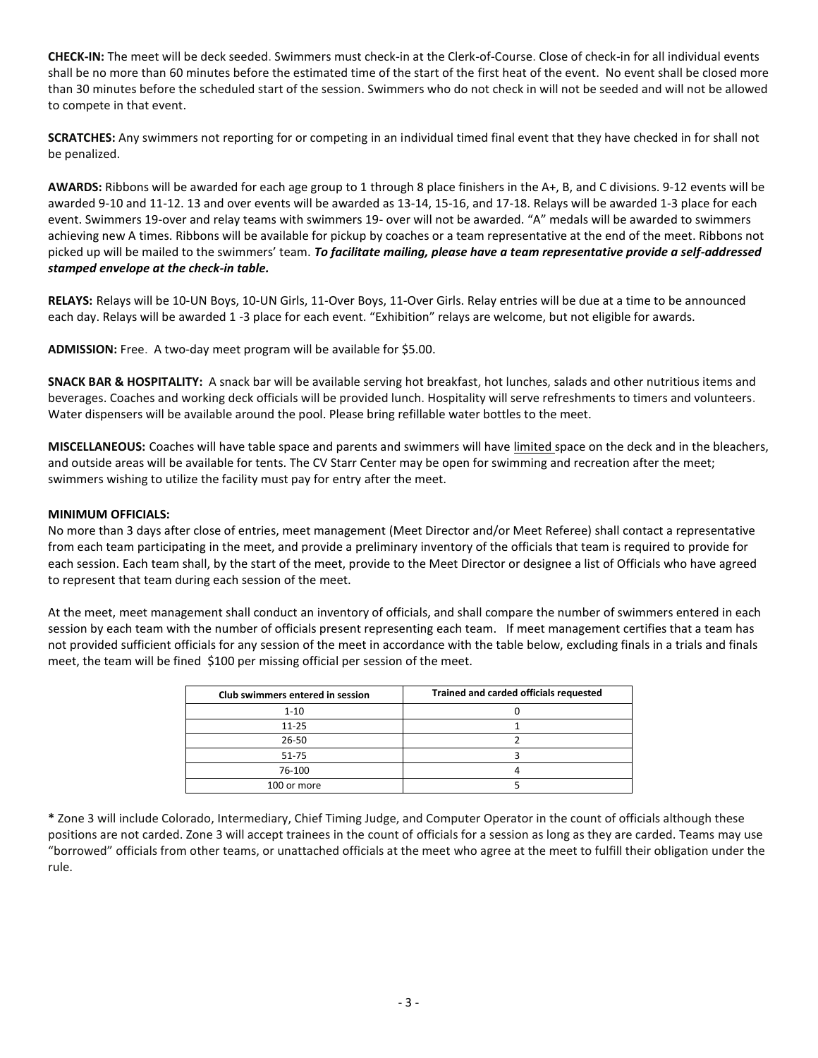**CHECK-IN:** The meet will be deck seeded. Swimmers must check-in at the Clerk-of-Course. Close of check-in for all individual events shall be no more than 60 minutes before the estimated time of the start of the first heat of the event. No event shall be closed more than 30 minutes before the scheduled start of the session. Swimmers who do not check in will not be seeded and will not be allowed to compete in that event.

**SCRATCHES:** Any swimmers not reporting for or competing in an individual timed final event that they have checked in for shall not be penalized.

**AWARDS:** Ribbons will be awarded for each age group to 1 through 8 place finishers in the A+, B, and C divisions. 9-12 events will be awarded 9-10 and 11-12. 13 and over events will be awarded as 13-14, 15-16, and 17-18. Relays will be awarded 1-3 place for each event. Swimmers 19-over and relay teams with swimmers 19- over will not be awarded. "A" medals will be awarded to swimmers achieving new A times. Ribbons will be available for pickup by coaches or a team representative at the end of the meet. Ribbons not picked up will be mailed to the swimmers' team. *To facilitate mailing, please have a team representative provide a self-addressed stamped envelope at the check-in table.*

**RELAYS:** Relays will be 10-UN Boys, 10-UN Girls, 11-Over Boys, 11-Over Girls. Relay entries will be due at a time to be announced each day. Relays will be awarded 1 -3 place for each event. "Exhibition" relays are welcome, but not eligible for awards.

**ADMISSION:** Free. A two-day meet program will be available for \$5.00.

**SNACK BAR & HOSPITALITY:** A snack bar will be available serving hot breakfast, hot lunches, salads and other nutritious items and beverages. Coaches and working deck officials will be provided lunch. Hospitality will serve refreshments to timers and volunteers. Water dispensers will be available around the pool. Please bring refillable water bottles to the meet.

**MISCELLANEOUS:** Coaches will have table space and parents and swimmers will have limited space on the deck and in the bleachers, and outside areas will be available for tents. The CV Starr Center may be open for swimming and recreation after the meet; swimmers wishing to utilize the facility must pay for entry after the meet.

## **MINIMUM OFFICIALS:**

No more than 3 days after close of entries, meet management (Meet Director and/or Meet Referee) shall contact a representative from each team participating in the meet, and provide a preliminary inventory of the officials that team is required to provide for each session. Each team shall, by the start of the meet, provide to the Meet Director or designee a list of Officials who have agreed to represent that team during each session of the meet.

At the meet, meet management shall conduct an inventory of officials, and shall compare the number of swimmers entered in each session by each team with the number of officials present representing each team. If meet management certifies that a team has not provided sufficient officials for any session of the meet in accordance with the table below, excluding finals in a trials and finals meet, the team will be fined \$100 per missing official per session of the meet.

| Club swimmers entered in session | Trained and carded officials requested |
|----------------------------------|----------------------------------------|
| $1 - 10$                         |                                        |
| $11 - 25$                        |                                        |
| $26 - 50$                        |                                        |
| $51 - 75$                        |                                        |
| 76-100                           |                                        |
| 100 or more                      |                                        |

**\*** Zone 3 will include Colorado, Intermediary, Chief Timing Judge, and Computer Operator in the count of officials although these positions are not carded. Zone 3 will accept trainees in the count of officials for a session as long as they are carded. Teams may use "borrowed" officials from other teams, or unattached officials at the meet who agree at the meet to fulfill their obligation under the rule.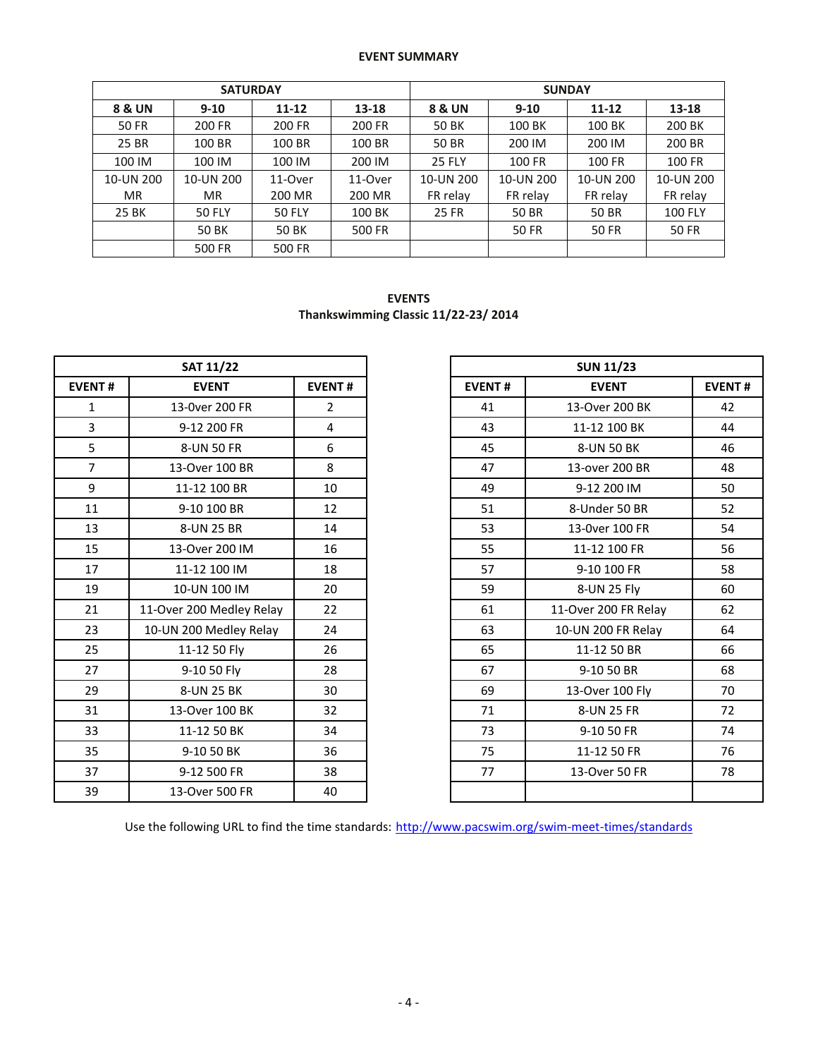## **EVENT SUMMARY**

|           | <b>SATURDAY</b> |               |         | <b>SUNDAY</b> |              |              |                |  |  |  |
|-----------|-----------------|---------------|---------|---------------|--------------|--------------|----------------|--|--|--|
|           |                 |               |         |               |              |              |                |  |  |  |
| 8 & UN    | $9 - 10$        | $11 - 12$     | 13-18   | 8 & UN        | $9 - 10$     | $11 - 12$    | 13-18          |  |  |  |
| 50 FR     | 200 FR          | 200 FR        | 200 FR  | 50 BK         | 100 BK       | 100 BK       | 200 BK         |  |  |  |
| 25 BR     | 100 BR          | 100 BR        | 100 BR  | <b>50 BR</b>  | 200 IM       | 200 IM       | 200 BR         |  |  |  |
| 100 IM    | 100 IM          | 100 IM        | 200 IM  | <b>25 FLY</b> | 100 FR       | 100 FR       | 100 FR         |  |  |  |
| 10-UN 200 | 10-UN 200       | 11-Over       | 11-Over | 10-UN 200     | 10-UN 200    | 10-UN 200    | 10-UN 200      |  |  |  |
| <b>MR</b> | <b>MR</b>       | 200 MR        | 200 MR  | FR relay      | FR relay     | FR relay     | FR relay       |  |  |  |
| 25 BK     | <b>50 FLY</b>   | <b>50 FLY</b> | 100 BK  | <b>25 FR</b>  | <b>50 BR</b> | 50 BR        | <b>100 FLY</b> |  |  |  |
|           | 50 BK           | <b>50 BK</b>  | 500 FR  |               | <b>50 FR</b> | <b>50 FR</b> | <b>50 FR</b>   |  |  |  |
|           | 500 FR          | 500 FR        |         |               |              |              |                |  |  |  |

**EVENTS Thankswimming Classic 11/22-23/ 2014**

|                | <b>SAT 11/22</b>         |                |
|----------------|--------------------------|----------------|
| <b>EVENT#</b>  | <b>EVENT</b>             | <b>EVENT#</b>  |
| $\mathbf{1}$   | 13-0ver 200 FR           | $\overline{2}$ |
| $\overline{3}$ | 9-12 200 FR              | 4              |
| 5              | 8-UN 50 FR               | 6              |
| $\overline{7}$ | 13-Over 100 BR           | 8              |
| 9              | 11-12 100 BR             | 10             |
| 11             | 9-10 100 BR              | 12             |
| 13             | 8-UN 25 BR               | 14             |
| 15             | 13-Over 200 IM           | 16             |
| 17             | 11-12 100 IM             | 18             |
| 19             | 10-UN 100 IM             | 20             |
| 21             | 11-Over 200 Medley Relay | 22             |
| 23             | 10-UN 200 Medley Relay   | 24             |
| 25             | 11-12 50 Fly             | 26             |
| 27             | 9-10 50 Fly              | 28             |
| 29             | 8-UN 25 BK               | 30             |
| 31             | 13-Over 100 BK           | 32             |
| 33             | 11-12 50 BK              | 34             |
| 35             | 9-10 50 BK               | 36             |
| 37             | 9-12 500 FR              | 38             |
| 39             | 13-Over 500 FR           | 40             |

|     | <b>SAT 11/22</b>         |                |
|-----|--------------------------|----------------|
| NT# | <b>EVENT</b>             | <b>EVENT#</b>  |
|     | 13-0ver 200 FR           | $\overline{2}$ |
|     | 9-12 200 FR              | 4              |
|     | 8-UN 50 FR               | 6              |
|     | 13-Over 100 BR           | 8              |
|     | 11-12 100 BR             | 10             |
|     | 9-10 100 BR              | 12             |
|     | 8-UN 25 BR               | 14             |
|     | 13-Over 200 IM           | 16             |
|     | 11-12 100 IM             | 18             |
|     | 10-UN 100 IM             | 20             |
|     | 11-Over 200 Medley Relay | 22             |
|     | 10-UN 200 Medley Relay   | 24             |
|     | 11-12 50 Fly             | 26             |
|     | 9-10 50 Fly              | 28             |
|     | 8-UN 25 BK               | 30             |
|     | 13-Over 100 BK           | 32             |
|     | 11-12 50 BK              | 34             |
|     | 9-10 50 BK               | 36             |
|     | 9-12 500 FR              | 38             |
|     | 13-Over 500 FR           | 40             |

Use the following URL to find the time standards: <http://www.pacswim.org/swim-meet-times/standards>